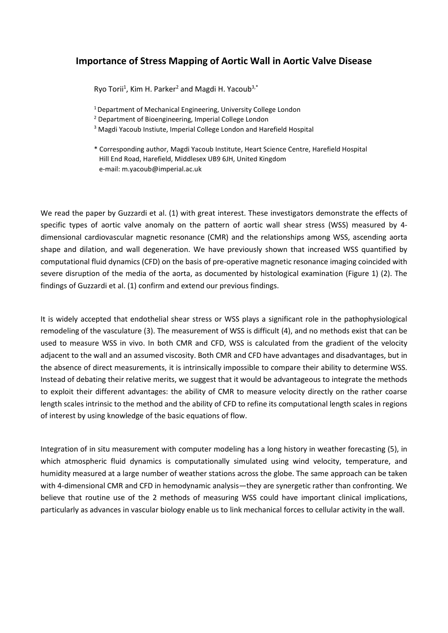## **Importance of Stress Mapping of Aortic Wall in Aortic Valve Disease**

Ryo Torii<sup>1</sup>, Kim H. Parker<sup>2</sup> and Magdi H. Yacoub<sup>3,\*</sup>

- <sup>1</sup> Department of Mechanical Engineering, University College London
- <sup>2</sup> Department of Bioengineering, Imperial College London
- <sup>3</sup> Magdi Yacoub Instiute, Imperial College London and Harefield Hospital
- \* Corresponding author, Magdi Yacoub Institute, Heart Science Centre, Harefield Hospital Hill End Road, Harefield, Middlesex UB9 6JH, United Kingdom e-mail: m.yacoub@imperial.ac.uk

We read the paper by Guzzardi et al. (1) with great interest. These investigators demonstrate the effects of specific types of aortic valve anomaly on the pattern of aortic wall shear stress (WSS) measured by 4 dimensional cardiovascular magnetic resonance (CMR) and the relationships among WSS, ascending aorta shape and dilation, and wall degeneration. We have previously shown that increased WSS quantified by computational fluid dynamics (CFD) on the basis of pre-operative magnetic resonance imaging coincided with severe disruption of the media of the aorta, as documented by histological examination (Figure 1) (2). The findings of Guzzardi et al. (1) confirm and extend our previous findings.

It is widely accepted that endothelial shear stress or WSS plays a significant role in the pathophysiological remodeling of the vasculature (3). The measurement of WSS is difficult (4), and no methods exist that can be used to measure WSS in vivo. In both CMR and CFD, WSS is calculated from the gradient of the velocity adjacent to the wall and an assumed viscosity. Both CMR and CFD have advantages and disadvantages, but in the absence of direct measurements, it is intrinsically impossible to compare their ability to determine WSS. Instead of debating their relative merits, we suggest that it would be advantageous to integrate the methods to exploit their different advantages: the ability of CMR to measure velocity directly on the rather coarse length scales intrinsic to the method and the ability of CFD to refine its computational length scales in regions of interest by using knowledge of the basic equations of flow.

Integration of in situ measurement with computer modeling has a long history in weather forecasting (5), in which atmospheric fluid dynamics is computationally simulated using wind velocity, temperature, and humidity measured at a large number of weather stations across the globe. The same approach can be taken with 4-dimensional CMR and CFD in hemodynamic analysis—they are synergetic rather than confronting. We believe that routine use of the 2 methods of measuring WSS could have important clinical implications, particularly as advances in vascular biology enable us to link mechanical forces to cellular activity in the wall.